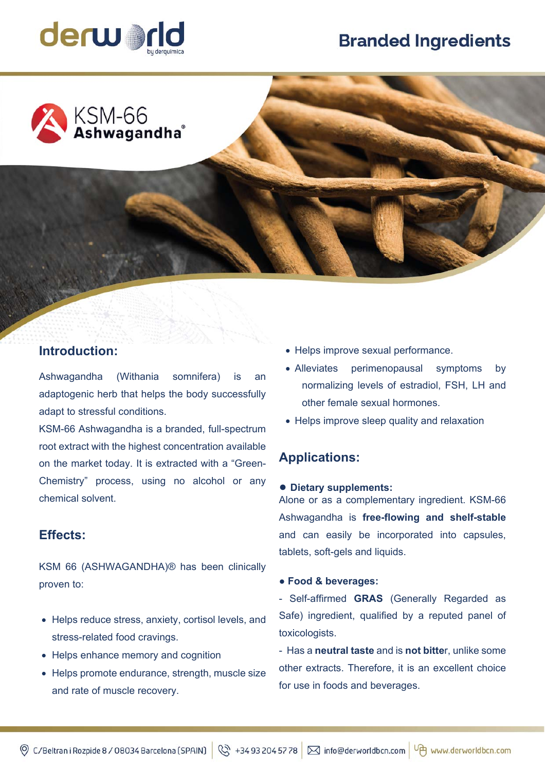# **Branded Ingredients**





# **Introduction:**

Ashwagandha (Withania somnifera) is an adaptogenic herb that helps the body successfully adapt to stressful conditions.

KSM-66 Ashwagandha is a branded, full-spectrum root extract with the highest concentration available on the market today. It is extracted with a "Green-Chemistry" process, using no alcohol or any chemical solvent.

## **Effects:**

KSM 66 (ASHWAGANDHA)® has been clinically proven to:

- Helps reduce stress, anxiety, cortisol levels, and stress-related food cravings.
- Helps enhance memory and cognition
- Helps promote endurance, strength, muscle size and rate of muscle recovery.
- Helps improve sexual performance.
- Alleviates perimenopausal symptoms by normalizing levels of estradiol, FSH, LH and other female sexual hormones.
- Helps improve sleep quality and relaxation

# **Applications:**

#### **● Dietary supplements:**

Alone or as a complementary ingredient. KSM-66 Ashwagandha is **free-flowing and shelf-stable** and can easily be incorporated into capsules, tablets, soft-gels and liquids.

#### **● Food & beverages:**

- Self-affirmed **GRAS** (Generally Regarded as Safe) ingredient, qualified by a reputed panel of toxicologists.

- Has a **neutral taste** and is **not bitte**r, unlike some other extracts. Therefore, it is an excellent choice for use in foods and beverages.